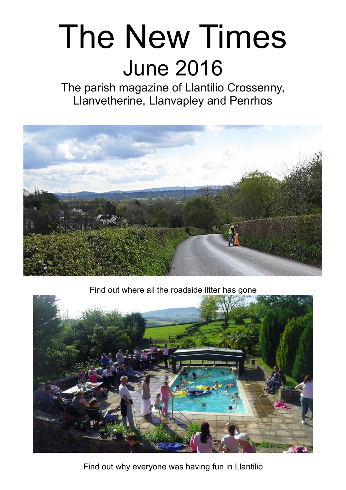# The New Times June 2016

The parish magazine of Llantilio Crossenny, Llanvetherine, Llanvapley and Penrhos



Find out where all the roadside litter has gone



Find out why everyone was having fun in Llantilio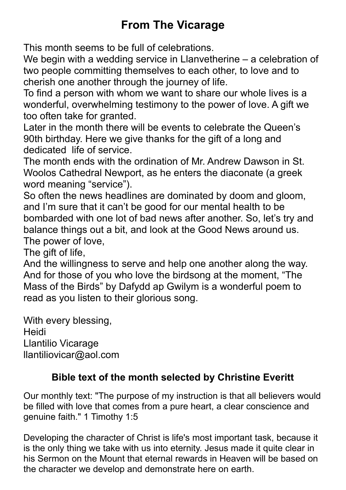# **From The Vicarage**

This month seems to be full of celebrations.

We begin with a wedding service in Llanvetherine – a celebration of two people committing themselves to each other, to love and to cherish one another through the journey of life.

To find a person with whom we want to share our whole lives is a wonderful, overwhelming testimony to the power of love. A gift we too often take for granted.

Later in the month there will be events to celebrate the Queen's 90th birthday. Here we give thanks for the gift of a long and dedicated life of service.

The month ends with the ordination of Mr. Andrew Dawson in St. Woolos Cathedral Newport, as he enters the diaconate (a greek word meaning "service").

So often the news headlines are dominated by doom and gloom, and I'm sure that it can't be good for our mental health to be bombarded with one lot of bad news after another. So, let's try and balance things out a bit, and look at the Good News around us. The power of love,

The gift of life,

And the willingness to serve and help one another along the way. And for those of you who love the birdsong at the moment, "The Mass of the Birds" by Dafydd ap Gwilym is a wonderful poem to read as you listen to their glorious song.

With every blessing, Heidi Llantilio Vicarage llantiliovicar@aol.com

#### **Bible text of the month selected by Christine Everitt**

Our monthly text: "The purpose of my instruction is that all believers would be filled with love that comes from a pure heart, a clear conscience and genuine faith." 1 Timothy 1:5

Developing the character of Christ is life's most important task, because it is the only thing we take with us into eternity. Jesus made it quite clear in his Sermon on the Mount that eternal rewards in Heaven will be based on the character we develop and demonstrate here on earth.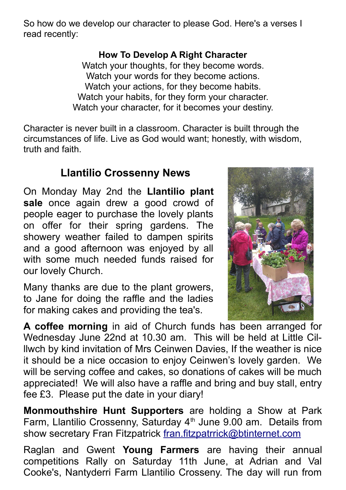So how do we develop our character to please God. Here's a verses I read recently:

#### **How To Develop A Right Character**

Watch your thoughts, for they become words. Watch your words for they become actions. Watch your actions, for they become habits. Watch your habits, for they form your character. Watch your character, for it becomes your destiny.

Character is never built in a classroom. Character is built through the circumstances of life. Live as God would want; honestly, with wisdom, truth and faith.

## **Llantilio Crossenny News**

On Monday May 2nd the **Llantilio plant** sale once again drew a good crowd of people eager to purchase the lovely plants on offer for their spring gardens. The showery weather failed to dampen spirits and a good afternoon was enjoyed by all with some much needed funds raised for our lovely Church.

Many thanks are due to the plant growers, to Jane for doing the raffle and the ladies for making cakes and providing the tea's.



**A coffee morning** in aid of Church funds has been arranged for Wednesday June 22nd at 10.30 am. This will be held at Little Cilllwch by kind invitation of Mrs Ceinwen Davies, If the weather is nice it should be a nice occasion to enjoy Ceinwen's lovely garden. We will be serving coffee and cakes, so donations of cakes will be much appreciated! We will also have a raffle and bring and buy stall, entry fee £3. Please put the date in your diary!

**Monmouthshire Hunt Supporters** are holding a Show at Park Farm, Llantilio Crossenny, Saturday  $4<sup>th</sup>$  June 9.00 am. Details from show secretary Fran Fitzpatrick [fran.fitzpatrrick@btinternet.com](mailto:fran.fitzpatrrick@btinternet.com)

Raglan and Gwent **Young Farmers** are having their annual competitions Rally on Saturday 11th June, at Adrian and Val Cooke's, Nantyderri Farm Llantilio Crosseny. The day will run from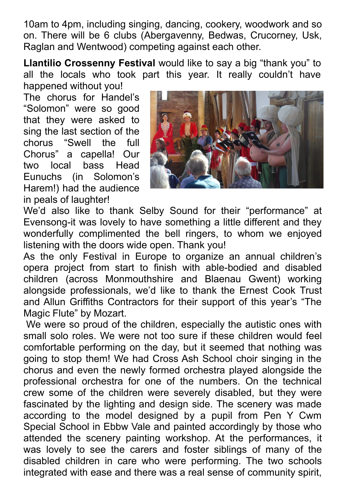10am to 4pm, including singing, dancing, cookery, woodwork and so on. There will be 6 clubs (Abergavenny, Bedwas, Crucorney, Usk, Raglan and Wentwood) competing against each other.

**Llantilio Crossenny Festival** would like to say a big "thank you" to all the locals who took part this year. It really couldn't have happened without you!

The chorus for Handel's "Solomon" were so good that they were asked to sing the last section of the chorus "Swell the full Chorus" a capella! Our two local bass Head Eunuchs (in Solomon's Harem!) had the audience in peals of laughter!



We'd also like to thank Selby Sound for their "performance" at Evensong-it was lovely to have something a little different and they wonderfully complimented the bell ringers, to whom we enjoyed listening with the doors wide open. Thank you!

As the only Festival in Europe to organize an annual children's opera project from start to finish with able-bodied and disabled children (across Monmouthshire and Blaenau Gwent) working alongside professionals, we'd like to thank the Ernest Cook Trust and Allun Griffiths Contractors for their support of this year's "The Magic Flute" by Mozart.

We were so proud of the children, especially the autistic ones with small solo roles. We were not too sure if these children would feel comfortable performing on the day, but it seemed that nothing was going to stop them! We had Cross Ash School choir singing in the chorus and even the newly formed orchestra played alongside the professional orchestra for one of the numbers. On the technical crew some of the children were severely disabled, but they were fascinated by the lighting and design side. The scenery was made according to the model designed by a pupil from Pen Y Cwm Special School in Ebbw Vale and painted accordingly by those who attended the scenery painting workshop. At the performances, it was lovely to see the carers and foster siblings of many of the disabled children in care who were performing. The two schools integrated with ease and there was a real sense of community spirit,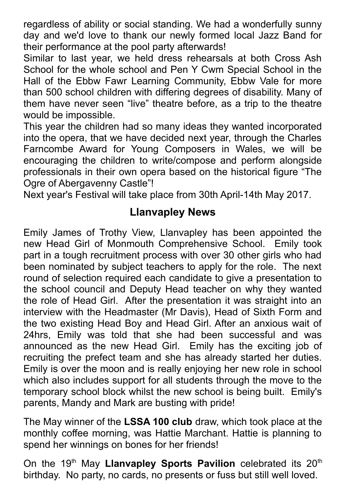regardless of ability or social standing. We had a wonderfully sunny day and we'd love to thank our newly formed local Jazz Band for their performance at the pool party afterwards!

Similar to last year, we held dress rehearsals at both Cross Ash School for the whole school and Pen Y Cwm Special School in the Hall of the Ebbw Fawr Learning Community, Ebbw Vale for more than 500 school children with differing degrees of disability. Many of them have never seen "live" theatre before, as a trip to the theatre would be impossible.

This year the children had so many ideas they wanted incorporated into the opera, that we have decided next year, through the Charles Farncombe Award for Young Composers in Wales, we will be encouraging the children to write/compose and perform alongside professionals in their own opera based on the historical figure "The Ogre of Abergavenny Castle"!

Next year's Festival will take place from 30th April-14th May 2017.

## **Llanvapley News**

Emily James of Trothy View, Llanvapley has been appointed the new Head Girl of Monmouth Comprehensive School. Emily took part in a tough recruitment process with over 30 other girls who had been nominated by subject teachers to apply for the role. The next round of selection required each candidate to give a presentation to the school council and Deputy Head teacher on why they wanted the role of Head Girl. After the presentation it was straight into an interview with the Headmaster (Mr Davis), Head of Sixth Form and the two existing Head Boy and Head Girl. After an anxious wait of 24hrs, Emily was told that she had been successful and was announced as the new Head Girl. Emily has the exciting job of recruiting the prefect team and she has already started her duties. Emily is over the moon and is really enjoying her new role in school which also includes support for all students through the move to the temporary school block whilst the new school is being built. Emily's parents, Mandy and Mark are busting with pride!

The May winner of the **LSSA 100 club** draw, which took place at the monthly coffee morning, was Hattie Marchant. Hattie is planning to spend her winnings on bones for her friends!

On the 19<sup>th</sup> May **Llanvapley Sports Pavilion** celebrated its 20<sup>th</sup> birthday. No party, no cards, no presents or fuss but still well loved.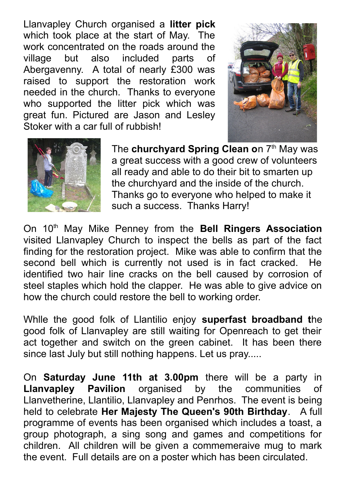Llanvapley Church organised a **litter pick** which took place at the start of May. The work concentrated on the roads around the village but also included parts of Abergavenny. A total of nearly £300 was raised to support the restoration work needed in the church. Thanks to everyone who supported the litter pick which was great fun. Pictured are Jason and Lesley Stoker with a car full of rubbish!





The **churchyard Spring Clean on 7th May was** a great success with a good crew of volunteers all ready and able to do their bit to smarten up the churchyard and the inside of the church. Thanks go to everyone who helped to make it such a success. Thanks Harry!

On 10th May Mike Penney from the **Bell Ringers Association** visited Llanvapley Church to inspect the bells as part of the fact finding for the restoration project. Mike was able to confirm that the second bell which is currently not used is in fact cracked. He identified two hair line cracks on the bell caused by corrosion of steel staples which hold the clapper. He was able to give advice on how the church could restore the bell to working order.

Whlle the good folk of Llantilio enjoy **superfast broadband t**he good folk of Llanvapley are still waiting for Openreach to get their act together and switch on the green cabinet. It has been there since last July but still nothing happens. Let us pray.....

On **Saturday June 11th at 3.00pm** there will be a party in **Llanvapley Pavilion** organised by the communities of Llanvetherine, Llantilio, Llanvapley and Penrhos. The event is being held to celebrate **Her Majesty The Queen's 90th Birthday**. A full programme of events has been organised which includes a toast, a group photograph, a sing song and games and competitions for children. All children will be given a commemeraive mug to mark the event. Full details are on a poster which has been circulated.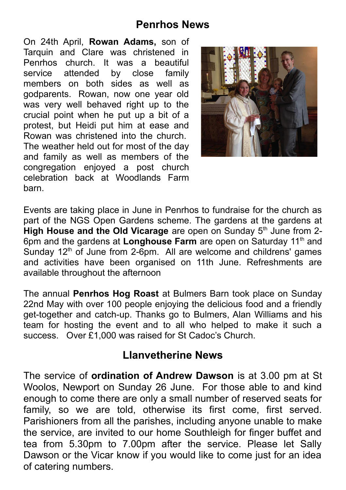#### **Penrhos News**

On 24th April, **Rowan Adams,** son of Tarquin and Clare was christened in Penrhos church. It was a beautiful service attended by close family members on both sides as well as godparents. Rowan, now one year old was very well behaved right up to the crucial point when he put up a bit of a protest, but Heidi put him at ease and Rowan was christened into the church. The weather held out for most of the day and family as well as members of the congregation enjoyed a post church celebration back at Woodlands Farm barn.



Events are taking place in June in Penrhos to fundraise for the church as part of the NGS Open Gardens scheme. The gardens at the gardens at **High House and the Old Vicarage** are open on Sunday 5<sup>th</sup> June from 2-6pm and the gardens at Longhouse Farm are open on Saturday 11<sup>th</sup> and Sunday  $12<sup>th</sup>$  of June from 2-6pm. All are welcome and childrens' games and activities have been organised on 11th June. Refreshments are available throughout the afternoon

The annual **Penrhos Hog Roast** at Bulmers Barn took place on Sunday 22nd May with over 100 people enjoying the delicious food and a friendly get-together and catch-up. Thanks go to Bulmers, Alan Williams and his team for hosting the event and to all who helped to make it such a success. Over £1,000 was raised for St Cadoc's Church.

## **Llanvetherine News**

The service of **ordination of Andrew Dawson** is at 3.00 pm at St Woolos, Newport on Sunday 26 June. For those able to and kind enough to come there are only a small number of reserved seats for family, so we are told, otherwise its first come, first served. Parishioners from all the parishes, including anyone unable to make the service, are invited to our home Southleigh for finger buffet and tea from 5.30pm to 7.00pm after the service. Please let Sally Dawson or the Vicar know if you would like to come just for an idea of catering numbers.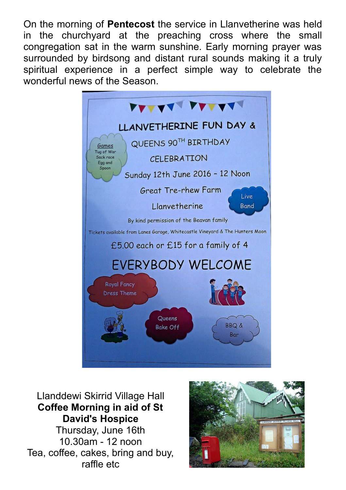On the morning of **Pentecost** the service in Llanvetherine was held in the churchyard at the preaching cross where the small congregation sat in the warm sunshine. Early morning prayer was surrounded by birdsong and distant rural sounds making it a truly spiritual experience in a perfect simple way to celebrate the wonderful news of the Season.



Llanddewi Skirrid Village Hall **Coffee Morning in aid of St David's Hospice** Thursday, June 16th 10.30am - 12 noon Tea, coffee, cakes, bring and buy, raffle etc

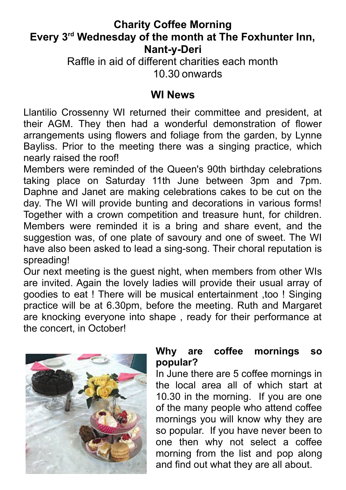#### **Charity Coffee Morning Every 3rd Wednesday of the month at The Foxhunter Inn, Nant-y-Deri**

Raffle in aid of different charities each month 10.30 onwards

#### **WI News**

Llantilio Crossenny WI returned their committee and president, at their AGM. They then had a wonderful demonstration of flower arrangements using flowers and foliage from the garden, by Lynne Bayliss. Prior to the meeting there was a singing practice, which nearly raised the roof!

Members were reminded of the Queen's 90th birthday celebrations taking place on Saturday 11th June between 3pm and 7pm. Daphne and Janet are making celebrations cakes to be cut on the day. The WI will provide bunting and decorations in various forms! Together with a crown competition and treasure hunt, for children. Members were reminded it is a bring and share event, and the suggestion was, of one plate of savoury and one of sweet. The WI have also been asked to lead a sing-song. Their choral reputation is spreading!

Our next meeting is the guest night, when members from other WIs are invited. Again the lovely ladies will provide their usual array of goodies to eat ! There will be musical entertainment ,too ! Singing practice will be at 6.30pm, before the meeting. Ruth and Margaret are knocking everyone into shape , ready for their performance at the concert, in October!



#### **Why are coffee mornings so popular?**

In June there are 5 coffee mornings in the local area all of which start at 10.30 in the morning. If you are one of the many people who attend coffee mornings you will know why they are so popular. If you have never been to one then why not select a coffee morning from the list and pop along and find out what they are all about.